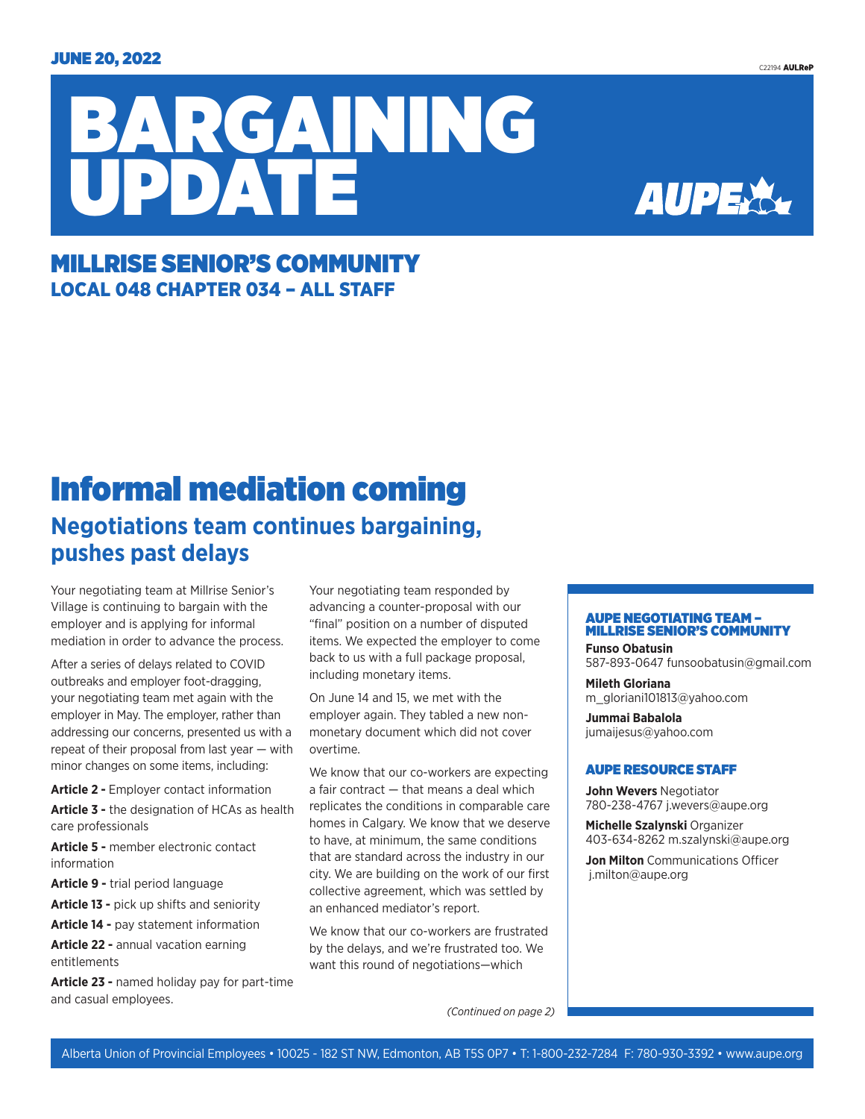



### MILLRISE SENIOR'S COMMUNITY LOCAL 048 CHAPTER 034 – ALL STAFF

## Informal mediation coming **Negotiations team continues bargaining, pushes past delays**

Your negotiating team at Millrise Senior's Village is continuing to bargain with the employer and is applying for informal mediation in order to advance the process.

After a series of delays related to COVID outbreaks and employer foot-dragging, your negotiating team met again with the employer in May. The employer, rather than addressing our concerns, presented us with a repeat of their proposal from last year — with minor changes on some items, including:

**Article 2 -** Employer contact information **Article 3 -** the designation of HCAs as health care professionals

**Article 5 -** member electronic contact information

**Article 9 -** trial period language

**Article 13 -** pick up shifts and seniority

**Article 14 -** pay statement information

**Article 22 -** annual vacation earning entitlements

**Article 23 -** named holiday pay for part-time and casual employees.

Your negotiating team responded by advancing a counter-proposal with our "final" position on a number of disputed items. We expected the employer to come back to us with a full package proposal, including monetary items.

On June 14 and 15, we met with the employer again. They tabled a new nonmonetary document which did not cover overtime.

We know that our co-workers are expecting a fair contract — that means a deal which replicates the conditions in comparable care homes in Calgary. We know that we deserve to have, at minimum, the same conditions that are standard across the industry in our city. We are building on the work of our first collective agreement, which was settled by an enhanced mediator's report.

We know that our co-workers are frustrated by the delays, and we're frustrated too. We want this round of negotiations—which

#### AUPE NEGOTIATING TEAM – MILLRISE SENIOR'S COMMUNITY

**Funso Obatusin** 587-893-0647 funsoobatusin@gmail.com

**Mileth Gloriana** m\_gloriani101813@yahoo.com

**Jummai Babalola** jumaijesus@yahoo.com

#### AUPE RESOURCE STAFF

**John Wevers** Negotiator 780-238-4767 j.wevers@aupe.org

**Michelle Szalynski** Organizer 403-634-8262 m.szalynski@aupe.org

**Jon Milton** Communications Officer j.milton@aupe.org

*(Continued on page 2)*